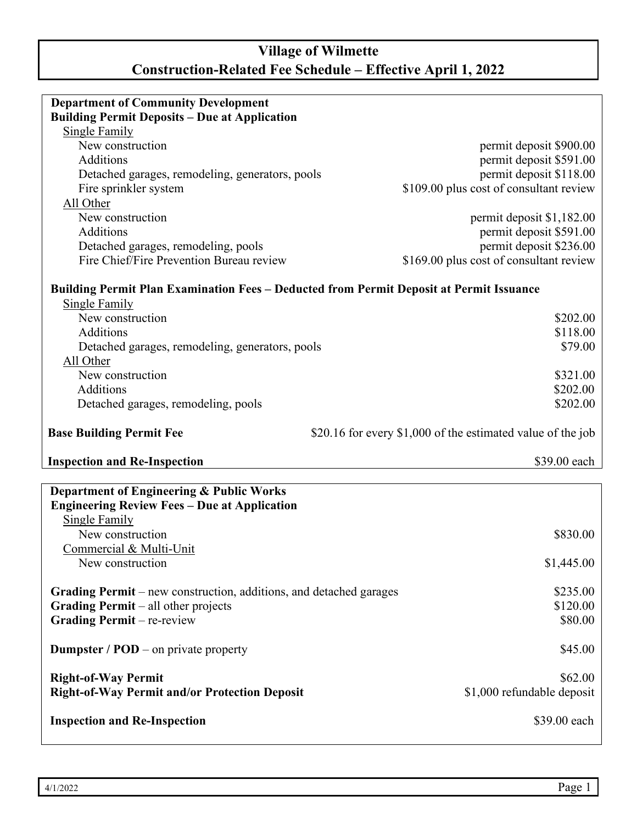## **Village of Wilmette Construction-Related Fee Schedule – Effective April 1, 2022**

| <b>Department of Community Development</b>                                                     |                                                             |  |  |  |
|------------------------------------------------------------------------------------------------|-------------------------------------------------------------|--|--|--|
| <b>Building Permit Deposits - Due at Application</b>                                           |                                                             |  |  |  |
| <b>Single Family</b>                                                                           |                                                             |  |  |  |
| New construction                                                                               | permit deposit \$900.00                                     |  |  |  |
| Additions                                                                                      | permit deposit \$591.00                                     |  |  |  |
| Detached garages, remodeling, generators, pools                                                | permit deposit \$118.00                                     |  |  |  |
| Fire sprinkler system                                                                          | \$109.00 plus cost of consultant review                     |  |  |  |
| All Other                                                                                      |                                                             |  |  |  |
| New construction                                                                               |                                                             |  |  |  |
|                                                                                                | permit deposit \$1,182.00                                   |  |  |  |
| Additions                                                                                      | permit deposit \$591.00                                     |  |  |  |
| Detached garages, remodeling, pools                                                            | permit deposit \$236.00                                     |  |  |  |
| Fire Chief/Fire Prevention Bureau review                                                       | \$169.00 plus cost of consultant review                     |  |  |  |
| <b>Building Permit Plan Examination Fees - Deducted from Permit Deposit at Permit Issuance</b> |                                                             |  |  |  |
| <b>Single Family</b>                                                                           |                                                             |  |  |  |
| New construction                                                                               | \$202.00                                                    |  |  |  |
| Additions                                                                                      | \$118.00                                                    |  |  |  |
| Detached garages, remodeling, generators, pools                                                | \$79.00                                                     |  |  |  |
| All Other                                                                                      |                                                             |  |  |  |
| New construction                                                                               | \$321.00                                                    |  |  |  |
| <b>Additions</b>                                                                               |                                                             |  |  |  |
|                                                                                                | \$202.00                                                    |  |  |  |
| Detached garages, remodeling, pools                                                            | \$202.00                                                    |  |  |  |
|                                                                                                |                                                             |  |  |  |
| <b>Base Building Permit Fee</b>                                                                | \$20.16 for every \$1,000 of the estimated value of the job |  |  |  |
| <b>Inspection and Re-Inspection</b>                                                            | \$39.00 each                                                |  |  |  |
|                                                                                                |                                                             |  |  |  |
| <b>Department of Engineering &amp; Public Works</b>                                            |                                                             |  |  |  |
| <b>Engineering Review Fees - Due at Application</b>                                            |                                                             |  |  |  |
| <b>Single Family</b>                                                                           |                                                             |  |  |  |
| New construction                                                                               | \$830.00                                                    |  |  |  |
| Commercial & Multi-Unit                                                                        |                                                             |  |  |  |
| New construction                                                                               | \$1,445.00                                                  |  |  |  |
|                                                                                                |                                                             |  |  |  |
| <b>Grading Permit</b> – new construction, additions, and detached garages                      | \$235.00                                                    |  |  |  |
| <b>Grading Permit</b> – all other projects                                                     | \$120.00                                                    |  |  |  |
| <b>Grading Permit</b> – re-review                                                              | \$80.00                                                     |  |  |  |
|                                                                                                |                                                             |  |  |  |
| <b>Dumpster</b> / $POD$ – on private property                                                  | \$45.00                                                     |  |  |  |
|                                                                                                |                                                             |  |  |  |
| <b>Right-of-Way Permit</b>                                                                     | \$62.00                                                     |  |  |  |
| <b>Right-of-Way Permit and/or Protection Deposit</b>                                           | \$1,000 refundable deposit                                  |  |  |  |
| <b>Inspection and Re-Inspection</b>                                                            | \$39.00 each                                                |  |  |  |